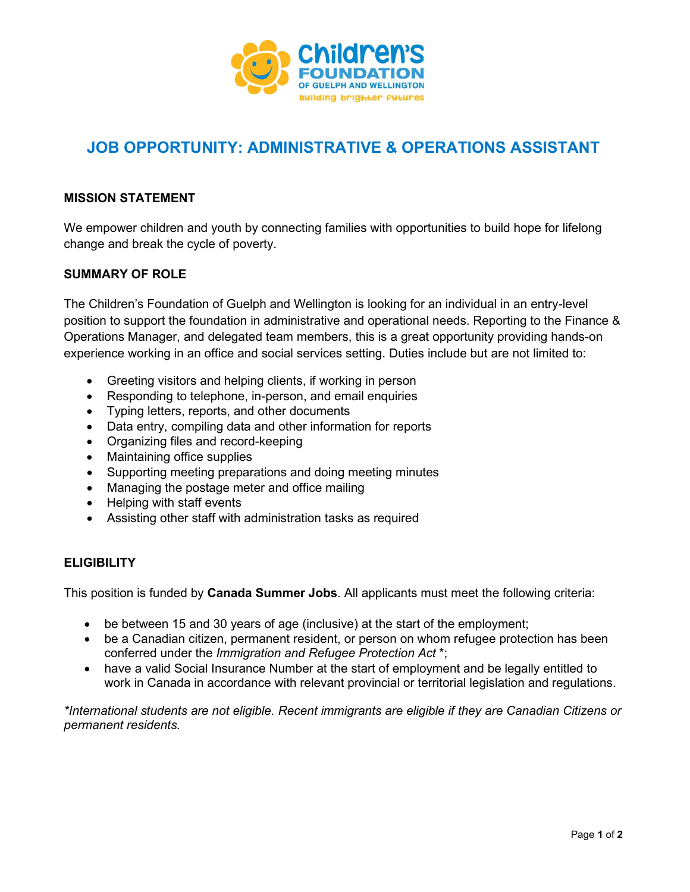

# **JOB OPPORTUNITY: ADMINISTRATIVE & OPERATIONS ASSISTANT**

# **MISSION STATEMENT**

We empower children and youth by connecting families with opportunities to build hope for lifelong change and break the cycle of poverty.

## **SUMMARY OF ROLE**

The Children's Foundation of Guelph and Wellington is looking for an individual in an entry-level position to support the foundation in administrative and operational needs. Reporting to the Finance & Operations Manager, and delegated team members, this is a great opportunity providing hands-on experience working in an office and social services setting. Duties include but are not limited to:

- Greeting visitors and helping clients, if working in person
- Responding to telephone, in-person, and email enquiries
- Typing letters, reports, and other documents
- Data entry, compiling data and other information for reports
- Organizing files and record-keeping
- Maintaining office supplies
- Supporting meeting preparations and doing meeting minutes
- Managing the postage meter and office mailing
- Helping with staff events
- Assisting other staff with administration tasks as required

#### **ELIGIBILITY**

This position is funded by **Canada Summer Jobs**. All applicants must meet the following criteria:

- be between 15 and 30 years of age (inclusive) at the start of the employment;
- be a Canadian citizen, permanent resident, or person on whom refugee protection has been conferred under the *Immigration and Refugee Protection Act* \*;
- have a valid Social Insurance Number at the start of employment and be legally entitled to work in Canada in accordance with relevant provincial or territorial legislation and regulations.

*\*International students are not eligible. Recent immigrants are eligible if they are Canadian Citizens or permanent residents.*